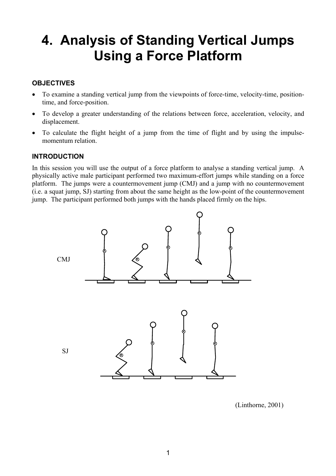# **4. Analysis of Standing Vertical Jumps Using a Force Platform**

# **OBJECTIVES**

- To examine a standing vertical jump from the viewpoints of force-time, velocity-time, positiontime, and force-position.
- To develop a greater understanding of the relations between force, acceleration, velocity, and displacement.
- To calculate the flight height of a jump from the time of flight and by using the impulsemomentum relation.

## **INTRODUCTION**

In this session you will use the output of a force platform to analyse a standing vertical jump. A physically active male participant performed two maximum-effort jumps while standing on a force platform. The jumps were a countermovement jump (CMJ) and a jump with no countermovement (i.e. a squat jump, SJ) starting from about the same height as the low-point of the countermovement jump. The participant performed both jumps with the hands placed firmly on the hips.



(Linthorne, 2001)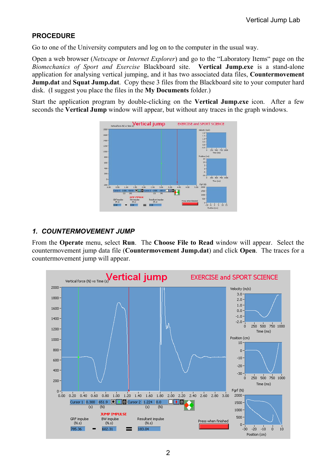# **PROCEDURE**

Go to one of the University computers and log on to the computer in the usual way.

Open a web browser (*Netscape* or *Internet Explorer*) and go to the "Laboratory Items" page on the *Biomechanics of Sport and Exercise* Blackboard site. **Vertical Jump.exe** is a stand-alone application for analysing vertical jumping, and it has two associated data files, **Countermovement Jump.dat** and **Squat Jump.dat**. Copy these 3 files from the Blackboard site to your computer hard disk. (I suggest you place the files in the **My Documents** folder.)

Start the application program by double-clicking on the **Vertical Jump.exe** icon. After a few seconds the **Vertical Jump** window will appear, but without any traces in the graph windows.



# *1. COUNTERMOVEMENT JUMP*

From the **Operate** menu, select **Run**. The **Choose File to Read** window will appear. Select the countermovement jump data file (**Countermovement Jump.dat**) and click **Open**. The traces for a countermovement jump will appear.

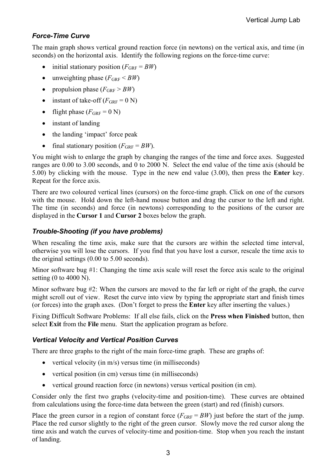# *Force-Time Curve*

The main graph shows vertical ground reaction force (in newtons) on the vertical axis, and time (in seconds) on the horizontal axis. Identify the following regions on the force-time curve:

- initial stationary position  $(F_{\text{GRF}} = BW)$
- unweighting phase  $(F_{\text{GRF}} < BW)$
- propulsion phase  $(F_{\text{GRF}} > BW)$
- instant of take-off  $(F_{\text{GRF}} = 0 \text{ N})$
- flight phase  $(F_{\text{GRF}} = 0 \text{ N})$
- instant of landing
- the landing 'impact' force peak
- final stationary position  $(F_{\text{GRF}} = BW)$ .

You might wish to enlarge the graph by changing the ranges of the time and force axes. Suggested ranges are 0.00 to 3.00 seconds, and 0 to 2000 N. Select the end value of the time axis (should be 5.00) by clicking with the mouse. Type in the new end value (3.00), then press the **Enter** key. Repeat for the force axis.

There are two coloured vertical lines (cursors) on the force-time graph. Click on one of the cursors with the mouse. Hold down the left-hand mouse button and drag the cursor to the left and right. The time (in seconds) and force (in newtons) corresponding to the positions of the cursor are displayed in the **Cursor 1** and **Cursor 2** boxes below the graph.

## *Trouble-Shooting (if you have problems)*

When rescaling the time axis, make sure that the cursors are within the selected time interval, otherwise you will lose the cursors. If you find that you have lost a cursor, rescale the time axis to the original settings (0.00 to 5.00 seconds).

Minor software bug #1: Changing the time axis scale will reset the force axis scale to the original setting (0 to 4000 N).

Minor software bug #2: When the cursors are moved to the far left or right of the graph, the curve might scroll out of view. Reset the curve into view by typing the appropriate start and finish times (or forces) into the graph axes. (Don't forget to press the **Enter** key after inserting the values.)

Fixing Difficult Software Problems: If all else fails, click on the **Press when Finished** button, then select **Exit** from the **File** menu. Start the application program as before.

## *Vertical Velocity and Vertical Position Curves*

There are three graphs to the right of the main force-time graph. These are graphs of:

- vertical velocity (in  $m/s$ ) versus time (in milliseconds)
- vertical position (in cm) versus time (in milliseconds)
- vertical ground reaction force (in newtons) versus vertical position (in cm).

Consider only the first two graphs (velocity-time and position-time). These curves are obtained from calculations using the force-time data between the green (start) and red (finish) cursors.

Place the green cursor in a region of constant force  $(F_{GRF} = BW)$  just before the start of the jump. Place the red cursor slightly to the right of the green cursor. Slowly move the red cursor along the time axis and watch the curves of velocity-time and position-time. Stop when you reach the instant of landing.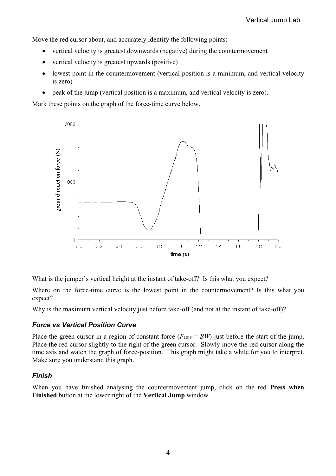Move the red cursor about, and accurately identify the following points:

- vertical velocity is greatest downwards (negative) during the countermovement
- vertical velocity is greatest upwards (positive)
- lowest point in the countermovement (vertical position is a minimum, and vertical velocity is zero)
- peak of the jump (vertical position is a maximum, and vertical velocity is zero).

Mark these points on the graph of the force-time curve below.



What is the jumper's vertical height at the instant of take-off? Is this what you expect?

Where on the force-time curve is the lowest point in the countermovement? Is this what you expect?

Why is the maximum vertical velocity just before take-off (and not at the instant of take-off)?

## *Force vs Vertical Position Curve*

Place the green cursor in a region of constant force  $(F_{GRF} = BW)$  just before the start of the jump. Place the red cursor slightly to the right of the green cursor. Slowly move the red cursor along the time axis and watch the graph of force-position. This graph might take a while for you to interpret. Make sure you understand this graph.

## *Finish*

When you have finished analysing the countermovement jump, click on the red **Press when Finished** button at the lower right of the **Vertical Jump** window.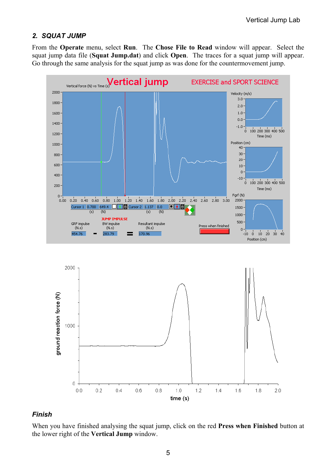#### *2. SQUAT JUMP*

From the **Operate** menu, select **Run**. The **Chose File to Read** window will appear. Select the squat jump data file (**Squat Jump.dat**) and click **Open**. The traces for a squat jump will appear. Go through the same analysis for the squat jump as was done for the countermovement jump.





#### *Finish*

When you have finished analysing the squat jump, click on the red **Press when Finished** button at the lower right of the **Vertical Jump** window.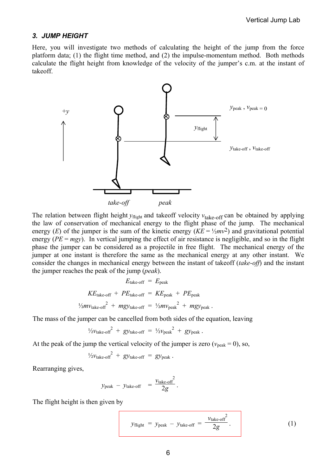#### *3. JUMP HEIGHT*

Here, you will investigate two methods of calculating the height of the jump from the force platform data; (1) the flight time method, and (2) the impulse-momentum method. Both methods calculate the flight height from knowledge of the velocity of the jumper's c.m. at the instant of takeoff.



The relation between flight height  $y_{\text{flight}}$  and takeoff velocity  $v_{\text{take-off}}$  can be obtained by applying the law of conservation of mechanical energy to the flight phase of the jump. The mechanical energy (*E*) of the jumper is the sum of the kinetic energy ( $KE = \frac{1}{2}mv^2$ ) and gravitational potential energy (*PE* = *mgy*). In vertical jumping the effect of air resistance is negligible, and so in the flight phase the jumper can be considered as a projectile in free flight. The mechanical energy of the jumper at one instant is therefore the same as the mechanical energy at any other instant. We consider the changes in mechanical energy between the instant of takeoff (*take-off*) and the instant the jumper reaches the peak of the jump (*peak*).

$$
E_{\text{take-off}} = E_{\text{peak}}
$$
  

$$
KE_{\text{take-off}} + PE_{\text{take-off}} = KE_{\text{peak}} + PE_{\text{peak}}
$$
  

$$
\frac{1}{2}mv_{\text{take-off}}^2 + mgy_{\text{take-off}} = \frac{1}{2}mv_{\text{peak}}^2 + mgy_{\text{peak}}.
$$

The mass of the jumper can be cancelled from both sides of the equation, leaving

$$
\frac{1}{2} \nu_{\text{take-off}}^2 + gy_{\text{take-off}} = \frac{1}{2} \nu_{\text{peak}}^2 + gy_{\text{peak}}.
$$

At the peak of the jump the vertical velocity of the jumper is zero ( $v_{\text{peak}} = 0$ ), so,

$$
\frac{1}{2}v_{\text{take-off}}^2 + gy_{\text{take-off}} = gy_{\text{peak}}.
$$

Rearranging gives,

$$
y_{\text{peak}} - y_{\text{take-off}} = \frac{v_{\text{take-off}}^2}{2g}.
$$

The flight height is then given by

$$
y_{\text{flight}} = y_{\text{peak}} - y_{\text{take-off}} = \frac{v_{\text{take-off}}^2}{2g}.
$$
 (1)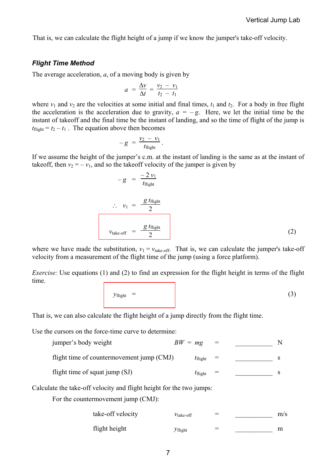That is, we can calculate the flight height of a jump if we know the jumper's take-off velocity.

#### *Flight Time Method*

The average acceleration, *a*, of a moving body is given by

$$
a = \frac{\Delta v}{\Delta t} = \frac{v_2 - v_1}{t_2 - t_1}
$$

where  $v_1$  and  $v_2$  are the velocities at some initial and final times,  $t_1$  and  $t_2$ . For a body in free flight the acceleration is the acceleration due to gravity,  $a = -g$ . Here, we let the initial time be the instant of takeoff and the final time be the instant of landing, and so the time of flight of the jump is  $t_{\text{flight}} = t_2 - t_1$ . The equation above then becomes

$$
-g = \frac{v_2 - v_1}{t_{\text{flight}}}.
$$

If we assume the height of the jumper's c.m. at the instant of landing is the same as at the instant of takeoff, then  $v_2 = -v_1$ , and so the takeoff velocity of the jumper is given by

$$
-g = \frac{-2 v_1}{t_{\text{flight}}}
$$
  
\n
$$
\therefore v_1 = \frac{g t_{\text{flight}}}{2}
$$
  
\n
$$
v_{\text{take-off}} = \frac{g t_{\text{flight}}}{2}
$$
 (2)

where we have made the substitution,  $v_1 = v_{\text{take-off}}$ . That is, we can calculate the jumper's take-off velocity from a measurement of the flight time of the jump (using a force platform).

*Exercise:* Use equations (1) and (2) to find an expression for the flight height in terms of the flight time.

$$
y_{\text{flight}} = \qquad (3)
$$

That is, we can also calculate the flight height of a jump directly from the flight time.

Use the cursors on the force-time curve to determine:

| jumper's body weight                      | $BW = mg$ |                     |  |  |
|-------------------------------------------|-----------|---------------------|--|--|
| flight time of countermovement jump (CMJ) |           | $I_{\text{flight}}$ |  |  |
| flight time of squat jump (SJ)            |           | $I_{\text{flight}}$ |  |  |

Calculate the take-off velocity and flight height for the two jumps:

For the countermovement jump (CMJ):

| take-off velocity | $v_{\rm take-off}$ | $=$ | m/s |
|-------------------|--------------------|-----|-----|
| flight height     | Vflight            | $=$ | m   |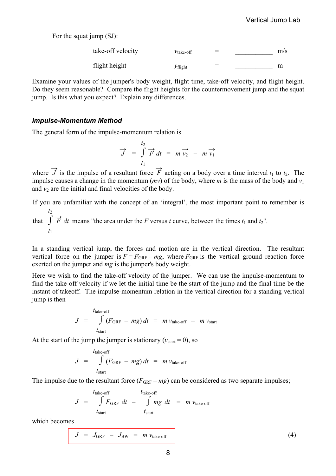For the squat jump (SJ):

| take-off velocity | $v_{\text{take-off}}$ | $=$ | m/s |
|-------------------|-----------------------|-----|-----|
| flight height     | $\mathcal{Y}$ flight  | $=$ | m   |

Examine your values of the jumper's body weight, flight time, take-off velocity, and flight height. Do they seem reasonable? Compare the flight heights for the countermovement jump and the squat jump. Is this what you expect? Explain any differences.

#### *Impulse-Momentum Method*

The general form of the impulse-momentum relation is

$$
\overrightarrow{J} = \int_{t_1}^{t_2} \overrightarrow{F} dt = m \overrightarrow{v_2} - m \overrightarrow{v_1}
$$

where  $\overrightarrow{J}$  is the impulse of a resultant force  $\overrightarrow{F}$  acting on a body over a time interval  $t_1$  to  $t_2$ . The impulse causes a change in the momentum  $(mv)$  of the body, where *m* is the mass of the body and  $v_1$ and  $v_2$  are the initial and final velocities of the body.

If you are unfamiliar with the concept of an 'integral', the most important point to remember is that  $\int$ *t*2  $\overrightarrow{F}$  *dt* means "the area under the *F* versus *t* curve, between the times  $t_1$  and  $t_2$ ".

In a standing vertical jump, the forces and motion are in the vertical direction. The resultant vertical force on the jumper is  $F = F_{GRF} - mg$ , where  $F_{GRF}$  is the vertical ground reaction force exerted on the jumper and *mg* is the jumper's body weight.

Here we wish to find the take-off velocity of the jumper. We can use the impulse-momentum to find the take-off velocity if we let the initial time be the start of the jump and the final time be the instant of takeoff. The impulse-momentum relation in the vertical direction for a standing vertical jump is then

$$
J = \int_{t_{\text{start}}}^{t_{\text{take-off}}} (F_{\text{GRF}} - mg) dt = m v_{\text{take-off}} - m v_{\text{start}}
$$

At the start of the jump the jumper is stationary ( $v_{\text{start}} = 0$ ), so

$$
J = \int_{t_{\text{state-off}}}^{t_{\text{take-off}}} (F_{\text{GRF}} - mg) dt = m v_{\text{take-off}}
$$

The impulse due to the resultant force  $(F_{GRF} - mg)$  can be considered as two separate impulses;

$$
J = \int_{t_{\text{take-off}}}^{t_{\text{take-off}}} f_{\text{GRF}} dt - \int_{t_{\text{start}}}^{t_{\text{take-off}}} mg dt = m v_{\text{take-off}}
$$

which becomes

*t*1

$$
J = J_{GRF} - J_{BW} = m v_{take-off}
$$
 (4)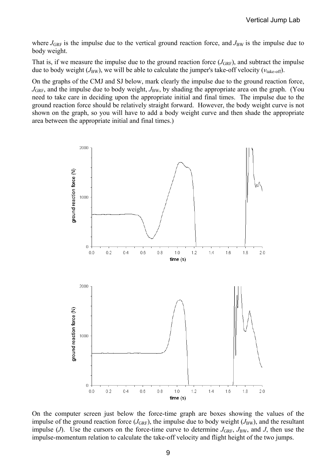where  $J_{\text{GRF}}$  is the impulse due to the vertical ground reaction force, and  $J_{\text{BW}}$  is the impulse due to body weight.

That is, if we measure the impulse due to the ground reaction force  $(J_{\text{GRF}})$ , and subtract the impulse due to body weight  $(J_{BW})$ , we will be able to calculate the jumper's take-off velocity ( $v_{\text{take-off}}$ ).

On the graphs of the CMJ and SJ below, mark clearly the impulse due to the ground reaction force,  $J_{\text{GRF}}$ , and the impulse due to body weight,  $J_{\text{BW}}$ , by shading the appropriate area on the graph. (You need to take care in deciding upon the appropriate initial and final times. The impulse due to the ground reaction force should be relatively straight forward. However, the body weight curve is not shown on the graph, so you will have to add a body weight curve and then shade the appropriate area between the appropriate initial and final times.)



On the computer screen just below the force-time graph are boxes showing the values of the impulse of the ground reaction force  $(J_{\text{GRF}})$ , the impulse due to body weight  $(J_{\text{BW}})$ , and the resultant impulse (*J*). Use the cursors on the force-time curve to determine  $J_{\text{GRF}}$ ,  $J_{\text{BW}}$ , and *J*, then use the impulse-momentum relation to calculate the take-off velocity and flight height of the two jumps.